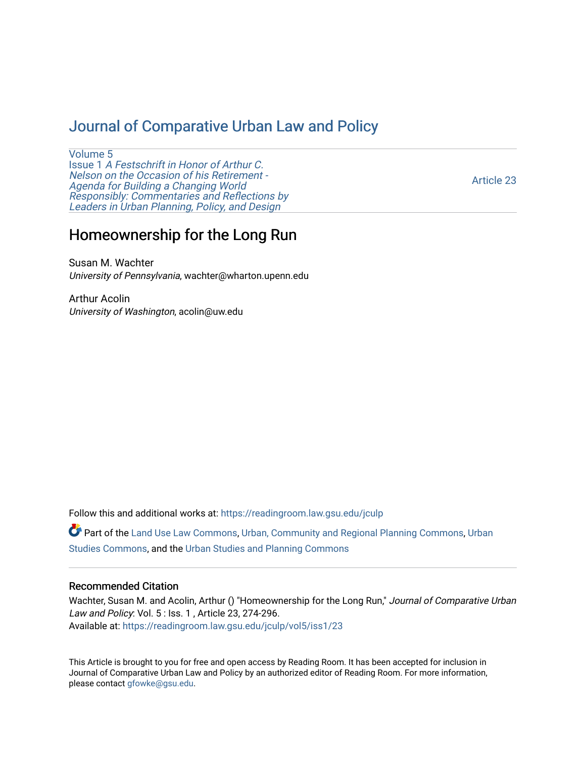# [Journal of Comparative Urban Law and Policy](https://readingroom.law.gsu.edu/jculp)

[Volume 5](https://readingroom.law.gsu.edu/jculp/vol5) Issue 1 [A Festschrift in Honor of Arthur C.](https://readingroom.law.gsu.edu/jculp/vol5/iss1) [Nelson on the Occasion of his Retirement -](https://readingroom.law.gsu.edu/jculp/vol5/iss1)  [Agenda for Building a Changing World](https://readingroom.law.gsu.edu/jculp/vol5/iss1)  [Responsibly: Commentaries and Reflections by](https://readingroom.law.gsu.edu/jculp/vol5/iss1) [Leaders in Urban Planning, Policy, and Design](https://readingroom.law.gsu.edu/jculp/vol5/iss1) 

[Article 23](https://readingroom.law.gsu.edu/jculp/vol5/iss1/23) 

# Homeownership for the Long Run

Susan M. Wachter University of Pennsylvania, wachter@wharton.upenn.edu

Arthur Acolin University of Washington, acolin@uw.edu

Follow this and additional works at: [https://readingroom.law.gsu.edu/jculp](https://readingroom.law.gsu.edu/jculp?utm_source=readingroom.law.gsu.edu%2Fjculp%2Fvol5%2Fiss1%2F23&utm_medium=PDF&utm_campaign=PDFCoverPages) 

Part of the [Land Use Law Commons](http://network.bepress.com/hgg/discipline/852?utm_source=readingroom.law.gsu.edu%2Fjculp%2Fvol5%2Fiss1%2F23&utm_medium=PDF&utm_campaign=PDFCoverPages), [Urban, Community and Regional Planning Commons,](http://network.bepress.com/hgg/discipline/776?utm_source=readingroom.law.gsu.edu%2Fjculp%2Fvol5%2Fiss1%2F23&utm_medium=PDF&utm_campaign=PDFCoverPages) [Urban](http://network.bepress.com/hgg/discipline/402?utm_source=readingroom.law.gsu.edu%2Fjculp%2Fvol5%2Fiss1%2F23&utm_medium=PDF&utm_campaign=PDFCoverPages) [Studies Commons,](http://network.bepress.com/hgg/discipline/402?utm_source=readingroom.law.gsu.edu%2Fjculp%2Fvol5%2Fiss1%2F23&utm_medium=PDF&utm_campaign=PDFCoverPages) and the [Urban Studies and Planning Commons](http://network.bepress.com/hgg/discipline/436?utm_source=readingroom.law.gsu.edu%2Fjculp%2Fvol5%2Fiss1%2F23&utm_medium=PDF&utm_campaign=PDFCoverPages) 

## Recommended Citation

Wachter, Susan M. and Acolin, Arthur () "Homeownership for the Long Run," Journal of Comparative Urban Law and Policy: Vol. 5 : Iss. 1 , Article 23, 274-296. Available at: [https://readingroom.law.gsu.edu/jculp/vol5/iss1/23](https://readingroom.law.gsu.edu/jculp/vol5/iss1/23?utm_source=readingroom.law.gsu.edu%2Fjculp%2Fvol5%2Fiss1%2F23&utm_medium=PDF&utm_campaign=PDFCoverPages)

This Article is brought to you for free and open access by Reading Room. It has been accepted for inclusion in Journal of Comparative Urban Law and Policy by an authorized editor of Reading Room. For more information, please contact [gfowke@gsu.edu](mailto:gfowke@gsu.edu).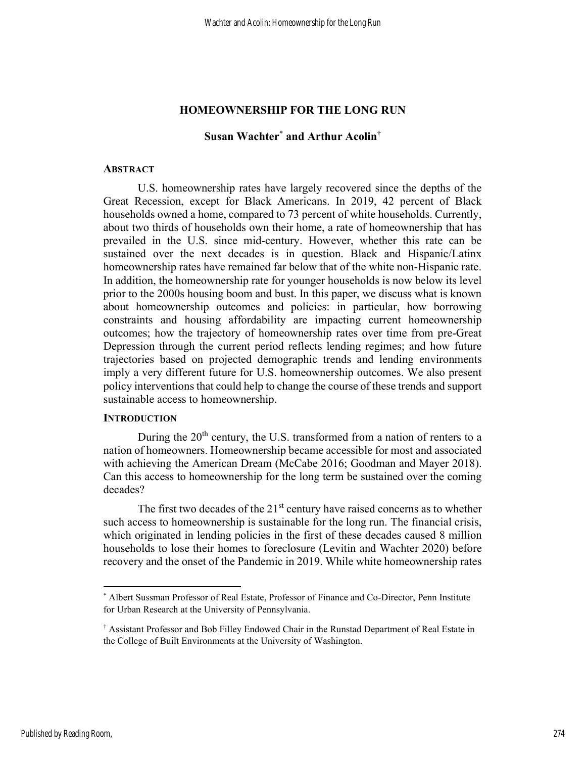# HOMEOWNERSHIP FOR THE LONG RUN

# Susan Wachter\* and Arthur Acolin†

## **ABSTRACT**

U.S. homeownership rates have largely recovered since the depths of the Great Recession, except for Black Americans. In 2019, 42 percent of Black households owned a home, compared to 73 percent of white households. Currently, about two thirds of households own their home, a rate of homeownership that has prevailed in the U.S. since mid-century. However, whether this rate can be sustained over the next decades is in question. Black and Hispanic/Latinx homeownership rates have remained far below that of the white non-Hispanic rate. In addition, the homeownership rate for younger households is now below its level prior to the 2000s housing boom and bust. In this paper, we discuss what is known about homeownership outcomes and policies: in particular, how borrowing constraints and housing affordability are impacting current homeownership outcomes; how the trajectory of homeownership rates over time from pre-Great Depression through the current period reflects lending regimes; and how future trajectories based on projected demographic trends and lending environments imply a very different future for U.S. homeownership outcomes. We also present policy interventions that could help to change the course of these trends and support sustainable access to homeownership.

# **INTRODUCTION**

During the  $20<sup>th</sup>$  century, the U.S. transformed from a nation of renters to a nation of homeowners. Homeownership became accessible for most and associated with achieving the American Dream (McCabe 2016; Goodman and Mayer 2018). Can this access to homeownership for the long term be sustained over the coming decades?

The first two decades of the  $21<sup>st</sup>$  century have raised concerns as to whether such access to homeownership is sustainable for the long run. The financial crisis, which originated in lending policies in the first of these decades caused 8 million households to lose their homes to foreclosure (Levitin and Wachter 2020) before recovery and the onset of the Pandemic in 2019. While white homeownership rates

<sup>\*</sup> Albert Sussman Professor of Real Estate, Professor of Finance and Co-Director, Penn Institute for Urban Research at the University of Pennsylvania.

<sup>†</sup> Assistant Professor and Bob Filley Endowed Chair in the Runstad Department of Real Estate in the College of Built Environments at the University of Washington.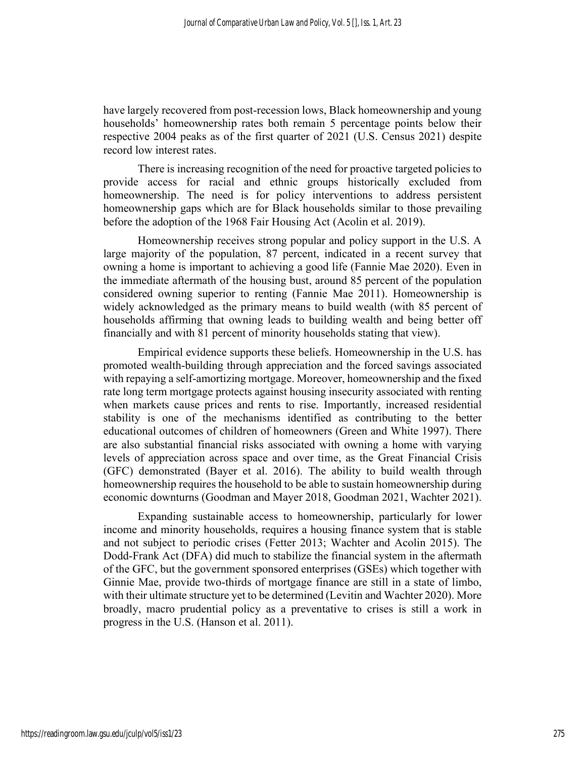have largely recovered from post-recession lows, Black homeownership and young households' homeownership rates both remain 5 percentage points below their respective 2004 peaks as of the first quarter of 2021 (U.S. Census 2021) despite record low interest rates.

There is increasing recognition of the need for proactive targeted policies to provide access for racial and ethnic groups historically excluded from homeownership. The need is for policy interventions to address persistent homeownership gaps which are for Black households similar to those prevailing before the adoption of the 1968 Fair Housing Act (Acolin et al. 2019).

Homeownership receives strong popular and policy support in the U.S. A large majority of the population, 87 percent, indicated in a recent survey that owning a home is important to achieving a good life (Fannie Mae 2020). Even in the immediate aftermath of the housing bust, around 85 percent of the population considered owning superior to renting (Fannie Mae 2011). Homeownership is widely acknowledged as the primary means to build wealth (with 85 percent of households affirming that owning leads to building wealth and being better off financially and with 81 percent of minority households stating that view).

Empirical evidence supports these beliefs. Homeownership in the U.S. has promoted wealth-building through appreciation and the forced savings associated with repaying a self-amortizing mortgage. Moreover, homeownership and the fixed rate long term mortgage protects against housing insecurity associated with renting when markets cause prices and rents to rise. Importantly, increased residential stability is one of the mechanisms identified as contributing to the better educational outcomes of children of homeowners (Green and White 1997). There are also substantial financial risks associated with owning a home with varying levels of appreciation across space and over time, as the Great Financial Crisis (GFC) demonstrated (Bayer et al. 2016). The ability to build wealth through homeownership requires the household to be able to sustain homeownership during economic downturns (Goodman and Mayer 2018, Goodman 2021, Wachter 2021).

Expanding sustainable access to homeownership, particularly for lower income and minority households, requires a housing finance system that is stable and not subject to periodic crises (Fetter 2013; Wachter and Acolin 2015). The Dodd-Frank Act (DFA) did much to stabilize the financial system in the aftermath of the GFC, but the government sponsored enterprises (GSEs) which together with Ginnie Mae, provide two-thirds of mortgage finance are still in a state of limbo, with their ultimate structure yet to be determined (Levitin and Wachter 2020). More broadly, macro prudential policy as a preventative to crises is still a work in progress in the U.S. (Hanson et al. 2011).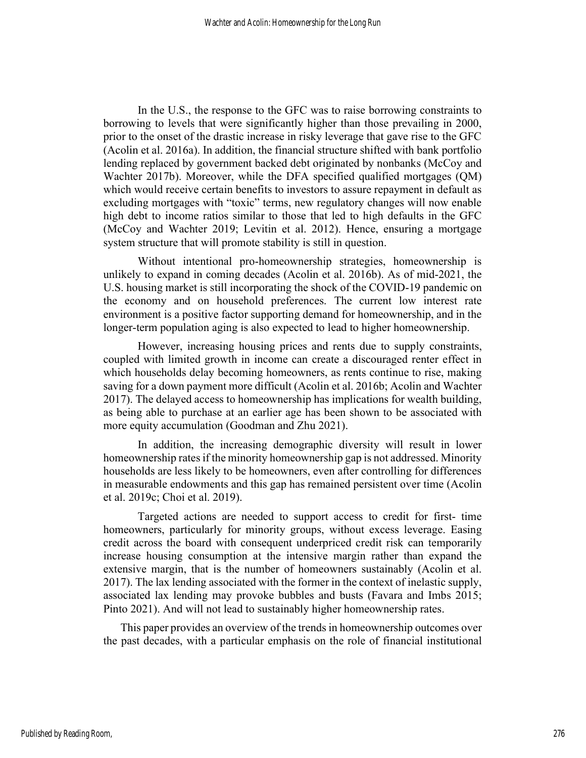In the U.S., the response to the GFC was to raise borrowing constraints to borrowing to levels that were significantly higher than those prevailing in 2000, prior to the onset of the drastic increase in risky leverage that gave rise to the GFC (Acolin et al. 2016a). In addition, the financial structure shifted with bank portfolio lending replaced by government backed debt originated by nonbanks (McCoy and Wachter 2017b). Moreover, while the DFA specified qualified mortgages (QM) which would receive certain benefits to investors to assure repayment in default as excluding mortgages with "toxic" terms, new regulatory changes will now enable high debt to income ratios similar to those that led to high defaults in the GFC (McCoy and Wachter 2019; Levitin et al. 2012). Hence, ensuring a mortgage system structure that will promote stability is still in question.

Without intentional pro-homeownership strategies, homeownership is unlikely to expand in coming decades (Acolin et al. 2016b). As of mid-2021, the U.S. housing market is still incorporating the shock of the COVID-19 pandemic on the economy and on household preferences. The current low interest rate environment is a positive factor supporting demand for homeownership, and in the longer-term population aging is also expected to lead to higher homeownership.

However, increasing housing prices and rents due to supply constraints, coupled with limited growth in income can create a discouraged renter effect in which households delay becoming homeowners, as rents continue to rise, making saving for a down payment more difficult (Acolin et al. 2016b; Acolin and Wachter 2017). The delayed access to homeownership has implications for wealth building, as being able to purchase at an earlier age has been shown to be associated with more equity accumulation (Goodman and Zhu 2021).

In addition, the increasing demographic diversity will result in lower homeownership rates if the minority homeownership gap is not addressed. Minority households are less likely to be homeowners, even after controlling for differences in measurable endowments and this gap has remained persistent over time (Acolin et al. 2019c; Choi et al. 2019).

Targeted actions are needed to support access to credit for first- time homeowners, particularly for minority groups, without excess leverage. Easing credit across the board with consequent underpriced credit risk can temporarily increase housing consumption at the intensive margin rather than expand the extensive margin, that is the number of homeowners sustainably (Acolin et al. 2017). The lax lending associated with the former in the context of inelastic supply, associated lax lending may provoke bubbles and busts (Favara and Imbs 2015; Pinto 2021). And will not lead to sustainably higher homeownership rates.

This paper provides an overview of the trends in homeownership outcomes over the past decades, with a particular emphasis on the role of financial institutional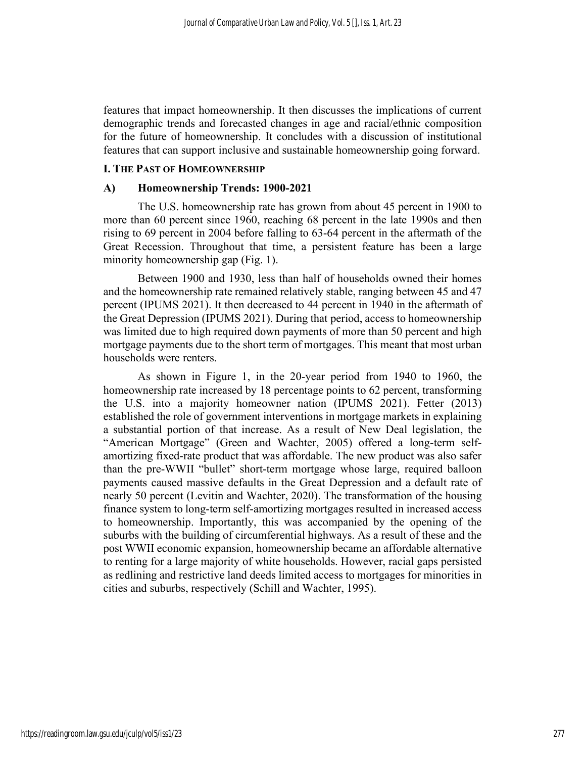features that impact homeownership. It then discusses the implications of current demographic trends and forecasted changes in age and racial/ethnic composition for the future of homeownership. It concludes with a discussion of institutional features that can support inclusive and sustainable homeownership going forward.

## I. THE PAST OF HOMEOWNERSHIP

#### A) Homeownership Trends: 1900-2021

The U.S. homeownership rate has grown from about 45 percent in 1900 to more than 60 percent since 1960, reaching 68 percent in the late 1990s and then rising to 69 percent in 2004 before falling to 63-64 percent in the aftermath of the Great Recession. Throughout that time, a persistent feature has been a large minority homeownership gap (Fig. 1).

Between 1900 and 1930, less than half of households owned their homes and the homeownership rate remained relatively stable, ranging between 45 and 47 percent (IPUMS 2021). It then decreased to 44 percent in 1940 in the aftermath of the Great Depression (IPUMS 2021). During that period, access to homeownership was limited due to high required down payments of more than 50 percent and high mortgage payments due to the short term of mortgages. This meant that most urban households were renters.

As shown in Figure 1, in the 20-year period from 1940 to 1960, the homeownership rate increased by 18 percentage points to 62 percent, transforming the U.S. into a majority homeowner nation (IPUMS 2021). Fetter (2013) established the role of government interventions in mortgage markets in explaining a substantial portion of that increase. As a result of New Deal legislation, the "American Mortgage" (Green and Wachter, 2005) offered a long-term selfamortizing fixed-rate product that was affordable. The new product was also safer than the pre-WWII "bullet" short-term mortgage whose large, required balloon payments caused massive defaults in the Great Depression and a default rate of nearly 50 percent (Levitin and Wachter, 2020). The transformation of the housing finance system to long-term self-amortizing mortgages resulted in increased access to homeownership. Importantly, this was accompanied by the opening of the suburbs with the building of circumferential highways. As a result of these and the post WWII economic expansion, homeownership became an affordable alternative to renting for a large majority of white households. However, racial gaps persisted as redlining and restrictive land deeds limited access to mortgages for minorities in cities and suburbs, respectively (Schill and Wachter, 1995).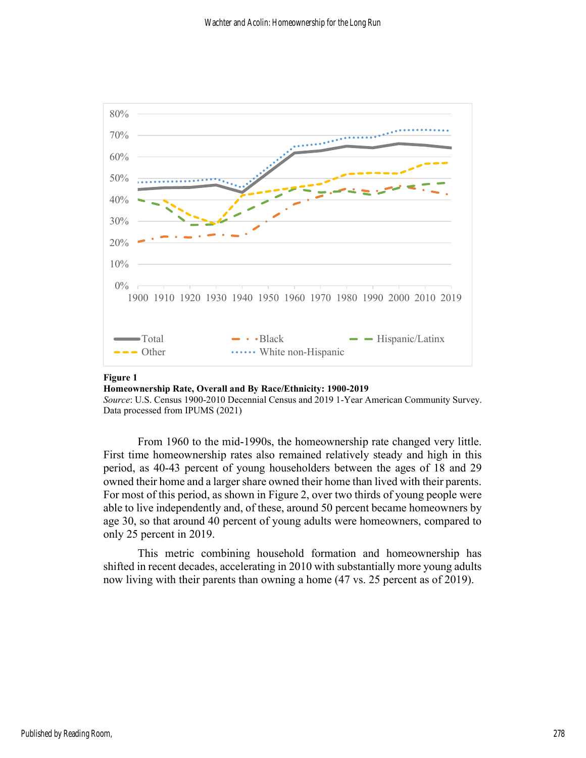

#### Figure 1

Homeownership Rate, Overall and By Race/Ethnicity: 1900-2019

Source: U.S. Census 1900-2010 Decennial Census and 2019 1-Year American Community Survey. Data processed from IPUMS (2021)

From 1960 to the mid-1990s, the homeownership rate changed very little. First time homeownership rates also remained relatively steady and high in this period, as 40-43 percent of young householders between the ages of 18 and 29 owned their home and a larger share owned their home than lived with their parents. For most of this period, as shown in Figure 2, over two thirds of young people were able to live independently and, of these, around 50 percent became homeowners by age 30, so that around 40 percent of young adults were homeowners, compared to only 25 percent in 2019.

This metric combining household formation and homeownership has shifted in recent decades, accelerating in 2010 with substantially more young adults now living with their parents than owning a home (47 vs. 25 percent as of 2019).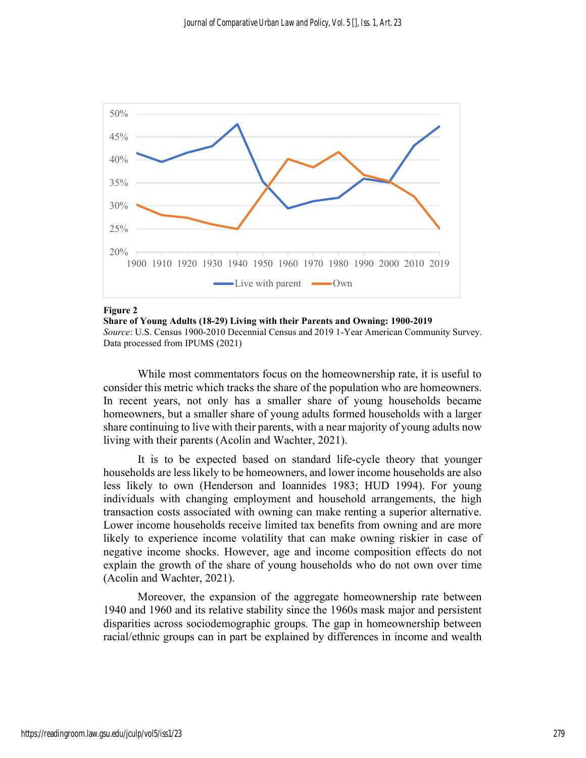

#### Figure 2

Share of Young Adults (18-29) Living with their Parents and Owning: 1900-2019 Source: U.S. Census 1900-2010 Decennial Census and 2019 1-Year American Community Survey. Data processed from IPUMS (2021)

While most commentators focus on the homeownership rate, it is useful to consider this metric which tracks the share of the population who are homeowners. In recent years, not only has a smaller share of young households became homeowners, but a smaller share of young adults formed households with a larger share continuing to live with their parents, with a near majority of young adults now living with their parents (Acolin and Wachter, 2021).

It is to be expected based on standard life-cycle theory that younger households are less likely to be homeowners, and lower income households are also less likely to own (Henderson and Ioannides 1983; HUD 1994). For young individuals with changing employment and household arrangements, the high transaction costs associated with owning can make renting a superior alternative. Lower income households receive limited tax benefits from owning and are more likely to experience income volatility that can make owning riskier in case of negative income shocks. However, age and income composition effects do not explain the growth of the share of young households who do not own over time (Acolin and Wachter, 2021).

Moreover, the expansion of the aggregate homeownership rate between 1940 and 1960 and its relative stability since the 1960s mask major and persistent disparities across sociodemographic groups. The gap in homeownership between racial/ethnic groups can in part be explained by differences in income and wealth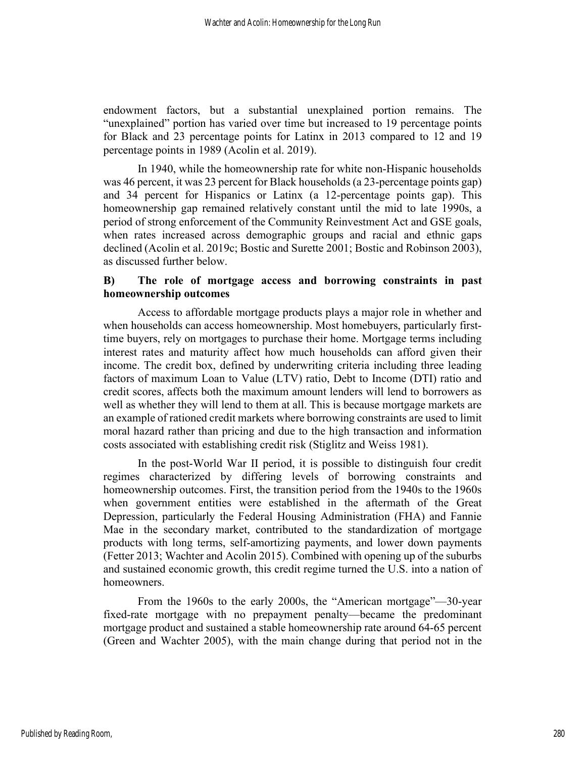endowment factors, but a substantial unexplained portion remains. The "unexplained" portion has varied over time but increased to 19 percentage points for Black and 23 percentage points for Latinx in 2013 compared to 12 and 19 percentage points in 1989 (Acolin et al. 2019).

In 1940, while the homeownership rate for white non-Hispanic households was 46 percent, it was 23 percent for Black households (a 23-percentage points gap) and 34 percent for Hispanics or Latinx (a 12-percentage points gap). This homeownership gap remained relatively constant until the mid to late 1990s, a period of strong enforcement of the Community Reinvestment Act and GSE goals, when rates increased across demographic groups and racial and ethnic gaps declined (Acolin et al. 2019c; Bostic and Surette 2001; Bostic and Robinson 2003), as discussed further below.

# B) The role of mortgage access and borrowing constraints in past homeownership outcomes

Access to affordable mortgage products plays a major role in whether and when households can access homeownership. Most homebuyers, particularly firsttime buyers, rely on mortgages to purchase their home. Mortgage terms including interest rates and maturity affect how much households can afford given their income. The credit box, defined by underwriting criteria including three leading factors of maximum Loan to Value (LTV) ratio, Debt to Income (DTI) ratio and credit scores, affects both the maximum amount lenders will lend to borrowers as well as whether they will lend to them at all. This is because mortgage markets are an example of rationed credit markets where borrowing constraints are used to limit moral hazard rather than pricing and due to the high transaction and information costs associated with establishing credit risk (Stiglitz and Weiss 1981).

In the post-World War II period, it is possible to distinguish four credit regimes characterized by differing levels of borrowing constraints and homeownership outcomes. First, the transition period from the 1940s to the 1960s when government entities were established in the aftermath of the Great Depression, particularly the Federal Housing Administration (FHA) and Fannie Mae in the secondary market, contributed to the standardization of mortgage products with long terms, self-amortizing payments, and lower down payments (Fetter 2013; Wachter and Acolin 2015). Combined with opening up of the suburbs and sustained economic growth, this credit regime turned the U.S. into a nation of homeowners.

From the 1960s to the early 2000s, the "American mortgage"—30-year fixed-rate mortgage with no prepayment penalty—became the predominant mortgage product and sustained a stable homeownership rate around 64-65 percent (Green and Wachter 2005), with the main change during that period not in the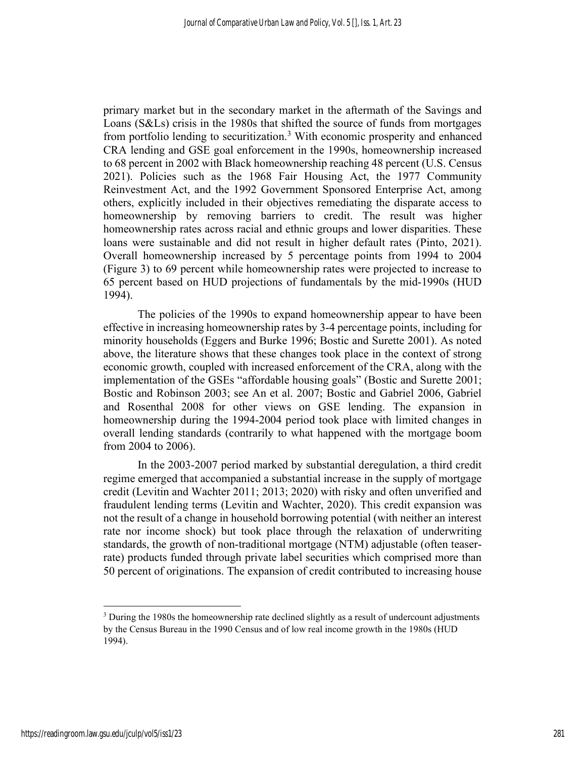primary market but in the secondary market in the aftermath of the Savings and Loans (S&Ls) crisis in the 1980s that shifted the source of funds from mortgages from portfolio lending to securitization.<sup>3</sup> With economic prosperity and enhanced CRA lending and GSE goal enforcement in the 1990s, homeownership increased to 68 percent in 2002 with Black homeownership reaching 48 percent (U.S. Census 2021). Policies such as the 1968 Fair Housing Act, the 1977 Community Reinvestment Act, and the 1992 Government Sponsored Enterprise Act, among others, explicitly included in their objectives remediating the disparate access to homeownership by removing barriers to credit. The result was higher homeownership rates across racial and ethnic groups and lower disparities. These loans were sustainable and did not result in higher default rates (Pinto, 2021). Overall homeownership increased by 5 percentage points from 1994 to 2004 (Figure 3) to 69 percent while homeownership rates were projected to increase to 65 percent based on HUD projections of fundamentals by the mid-1990s (HUD 1994).

The policies of the 1990s to expand homeownership appear to have been effective in increasing homeownership rates by 3-4 percentage points, including for minority households (Eggers and Burke 1996; Bostic and Surette 2001). As noted above, the literature shows that these changes took place in the context of strong economic growth, coupled with increased enforcement of the CRA, along with the implementation of the GSEs "affordable housing goals" (Bostic and Surette 2001; Bostic and Robinson 2003; see An et al. 2007; Bostic and Gabriel 2006, Gabriel and Rosenthal 2008 for other views on GSE lending. The expansion in homeownership during the 1994-2004 period took place with limited changes in overall lending standards (contrarily to what happened with the mortgage boom from 2004 to 2006).

In the 2003-2007 period marked by substantial deregulation, a third credit regime emerged that accompanied a substantial increase in the supply of mortgage credit (Levitin and Wachter 2011; 2013; 2020) with risky and often unverified and fraudulent lending terms (Levitin and Wachter, 2020). This credit expansion was not the result of a change in household borrowing potential (with neither an interest rate nor income shock) but took place through the relaxation of underwriting standards, the growth of non-traditional mortgage (NTM) adjustable (often teaserrate) products funded through private label securities which comprised more than 50 percent of originations. The expansion of credit contributed to increasing house

<sup>&</sup>lt;sup>3</sup> During the 1980s the homeownership rate declined slightly as a result of undercount adjustments by the Census Bureau in the 1990 Census and of low real income growth in the 1980s (HUD 1994).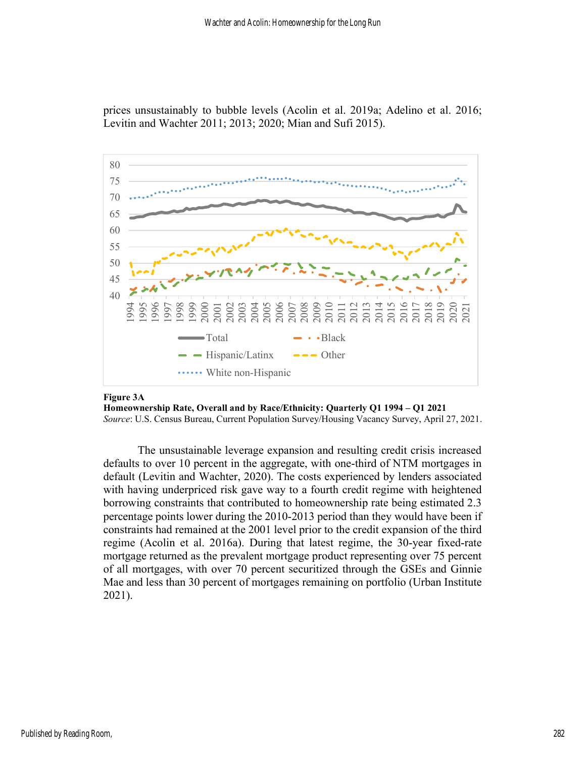

prices unsustainably to bubble levels (Acolin et al. 2019a; Adelino et al. 2016; Levitin and Wachter 2011; 2013; 2020; Mian and Sufi 2015).

#### Figure 3A

Homeownership Rate, Overall and by Race/Ethnicity: Quarterly Q1 1994 – Q1 2021

Source: U.S. Census Bureau, Current Population Survey/Housing Vacancy Survey, April 27, 2021.

The unsustainable leverage expansion and resulting credit crisis increased defaults to over 10 percent in the aggregate, with one-third of NTM mortgages in default (Levitin and Wachter, 2020). The costs experienced by lenders associated with having underpriced risk gave way to a fourth credit regime with heightened borrowing constraints that contributed to homeownership rate being estimated 2.3 percentage points lower during the 2010-2013 period than they would have been if constraints had remained at the 2001 level prior to the credit expansion of the third regime (Acolin et al. 2016a). During that latest regime, the 30-year fixed-rate mortgage returned as the prevalent mortgage product representing over 75 percent of all mortgages, with over 70 percent securitized through the GSEs and Ginnie Mae and less than 30 percent of mortgages remaining on portfolio (Urban Institute 2021).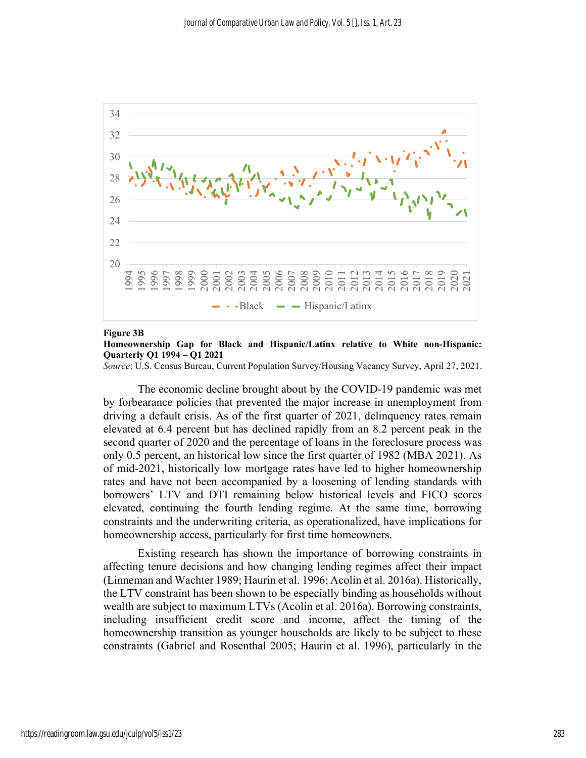

#### Figure 3B

#### Homeownership Gap for Black and Hispanic/Latinx relative to White non-Hispanic: Quarterly Q1 1994 – Q1 2021

Source: U.S. Census Bureau, Current Population Survey/Housing Vacancy Survey, April 27, 2021.

The economic decline brought about by the COVID-19 pandemic was met by forbearance policies that prevented the major increase in unemployment from driving a default crisis. As of the first quarter of 2021, delinquency rates remain elevated at 6.4 percent but has declined rapidly from an 8.2 percent peak in the second quarter of 2020 and the percentage of loans in the foreclosure process was only 0.5 percent, an historical low since the first quarter of 1982 (MBA 2021). As of mid-2021, historically low mortgage rates have led to higher homeownership rates and have not been accompanied by a loosening of lending standards with borrowers' LTV and DTI remaining below historical levels and FICO scores elevated, continuing the fourth lending regime. At the same time, borrowing constraints and the underwriting criteria, as operationalized, have implications for homeownership access, particularly for first time homeowners.

Existing research has shown the importance of borrowing constraints in affecting tenure decisions and how changing lending regimes affect their impact (Linneman and Wachter 1989; Haurin et al. 1996; Acolin et al. 2016a). Historically, the LTV constraint has been shown to be especially binding as households without wealth are subject to maximum LTVs (Acolin et al. 2016a). Borrowing constraints, including insufficient credit score and income, affect the timing of the homeownership transition as younger households are likely to be subject to these constraints (Gabriel and Rosenthal 2005; Haurin et al. 1996), particularly in the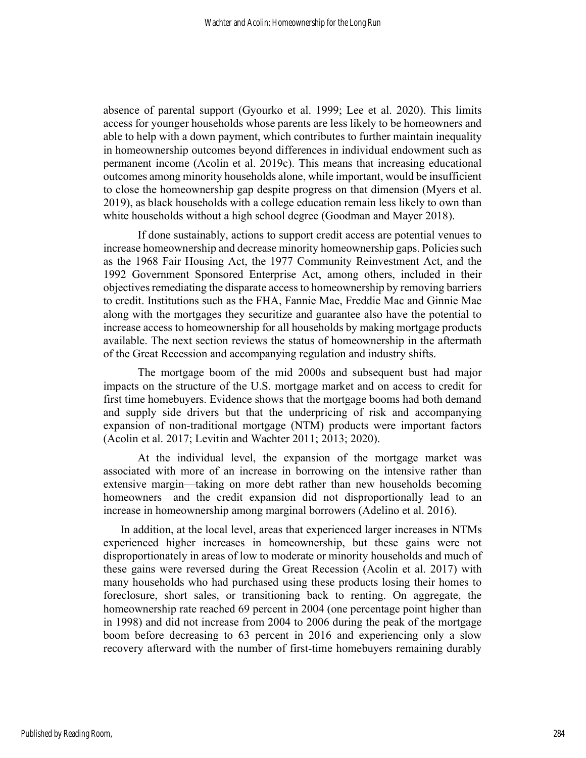absence of parental support (Gyourko et al. 1999; Lee et al. 2020). This limits access for younger households whose parents are less likely to be homeowners and able to help with a down payment, which contributes to further maintain inequality in homeownership outcomes beyond differences in individual endowment such as permanent income (Acolin et al. 2019c). This means that increasing educational outcomes among minority households alone, while important, would be insufficient to close the homeownership gap despite progress on that dimension (Myers et al. 2019), as black households with a college education remain less likely to own than white households without a high school degree (Goodman and Mayer 2018).

If done sustainably, actions to support credit access are potential venues to increase homeownership and decrease minority homeownership gaps. Policies such as the 1968 Fair Housing Act, the 1977 Community Reinvestment Act, and the 1992 Government Sponsored Enterprise Act, among others, included in their objectives remediating the disparate access to homeownership by removing barriers to credit. Institutions such as the FHA, Fannie Mae, Freddie Mac and Ginnie Mae along with the mortgages they securitize and guarantee also have the potential to increase access to homeownership for all households by making mortgage products available. The next section reviews the status of homeownership in the aftermath of the Great Recession and accompanying regulation and industry shifts.

The mortgage boom of the mid 2000s and subsequent bust had major impacts on the structure of the U.S. mortgage market and on access to credit for first time homebuyers. Evidence shows that the mortgage booms had both demand and supply side drivers but that the underpricing of risk and accompanying expansion of non-traditional mortgage (NTM) products were important factors (Acolin et al. 2017; Levitin and Wachter 2011; 2013; 2020).

At the individual level, the expansion of the mortgage market was associated with more of an increase in borrowing on the intensive rather than extensive margin—taking on more debt rather than new households becoming homeowners—and the credit expansion did not disproportionally lead to an increase in homeownership among marginal borrowers (Adelino et al. 2016).

In addition, at the local level, areas that experienced larger increases in NTMs experienced higher increases in homeownership, but these gains were not disproportionately in areas of low to moderate or minority households and much of these gains were reversed during the Great Recession (Acolin et al. 2017) with many households who had purchased using these products losing their homes to foreclosure, short sales, or transitioning back to renting. On aggregate, the homeownership rate reached 69 percent in 2004 (one percentage point higher than in 1998) and did not increase from 2004 to 2006 during the peak of the mortgage boom before decreasing to 63 percent in 2016 and experiencing only a slow recovery afterward with the number of first-time homebuyers remaining durably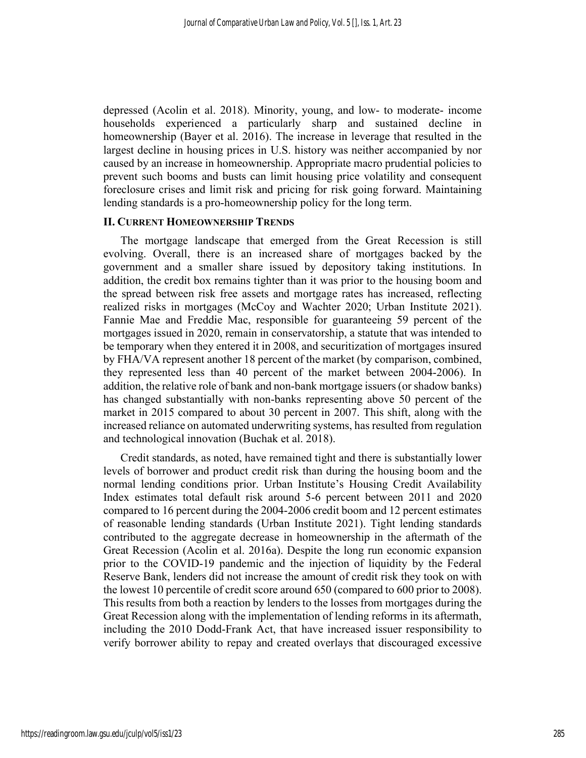depressed (Acolin et al. 2018). Minority, young, and low- to moderate- income households experienced a particularly sharp and sustained decline in homeownership (Bayer et al. 2016). The increase in leverage that resulted in the largest decline in housing prices in U.S. history was neither accompanied by nor caused by an increase in homeownership. Appropriate macro prudential policies to prevent such booms and busts can limit housing price volatility and consequent foreclosure crises and limit risk and pricing for risk going forward. Maintaining lending standards is a pro-homeownership policy for the long term.

## II. CURRENT HOMEOWNERSHIP TRENDS

The mortgage landscape that emerged from the Great Recession is still evolving. Overall, there is an increased share of mortgages backed by the government and a smaller share issued by depository taking institutions. In addition, the credit box remains tighter than it was prior to the housing boom and the spread between risk free assets and mortgage rates has increased, reflecting realized risks in mortgages (McCoy and Wachter 2020; Urban Institute 2021). Fannie Mae and Freddie Mac, responsible for guaranteeing 59 percent of the mortgages issued in 2020, remain in conservatorship, a statute that was intended to be temporary when they entered it in 2008, and securitization of mortgages insured by FHA/VA represent another 18 percent of the market (by comparison, combined, they represented less than 40 percent of the market between 2004-2006). In addition, the relative role of bank and non-bank mortgage issuers (or shadow banks) has changed substantially with non-banks representing above 50 percent of the market in 2015 compared to about 30 percent in 2007. This shift, along with the increased reliance on automated underwriting systems, has resulted from regulation and technological innovation (Buchak et al. 2018).

Credit standards, as noted, have remained tight and there is substantially lower levels of borrower and product credit risk than during the housing boom and the normal lending conditions prior. Urban Institute's Housing Credit Availability Index estimates total default risk around 5-6 percent between 2011 and 2020 compared to 16 percent during the 2004-2006 credit boom and 12 percent estimates of reasonable lending standards (Urban Institute 2021). Tight lending standards contributed to the aggregate decrease in homeownership in the aftermath of the Great Recession (Acolin et al. 2016a). Despite the long run economic expansion prior to the COVID-19 pandemic and the injection of liquidity by the Federal Reserve Bank, lenders did not increase the amount of credit risk they took on with the lowest 10 percentile of credit score around 650 (compared to 600 prior to 2008). This results from both a reaction by lenders to the losses from mortgages during the Great Recession along with the implementation of lending reforms in its aftermath, including the 2010 Dodd-Frank Act, that have increased issuer responsibility to verify borrower ability to repay and created overlays that discouraged excessive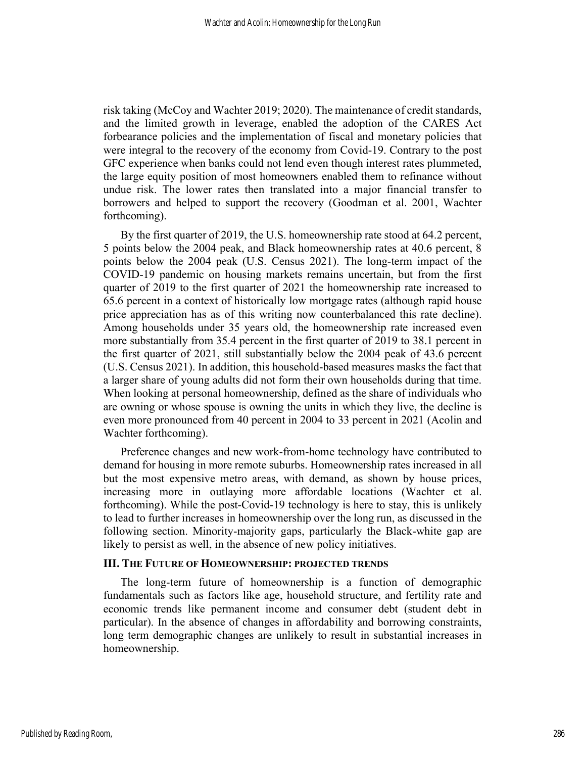risk taking (McCoy and Wachter 2019; 2020). The maintenance of credit standards, and the limited growth in leverage, enabled the adoption of the CARES Act forbearance policies and the implementation of fiscal and monetary policies that were integral to the recovery of the economy from Covid-19. Contrary to the post GFC experience when banks could not lend even though interest rates plummeted, the large equity position of most homeowners enabled them to refinance without undue risk. The lower rates then translated into a major financial transfer to borrowers and helped to support the recovery (Goodman et al. 2001, Wachter forthcoming).

By the first quarter of 2019, the U.S. homeownership rate stood at 64.2 percent, 5 points below the 2004 peak, and Black homeownership rates at 40.6 percent, 8 points below the 2004 peak (U.S. Census 2021). The long-term impact of the COVID-19 pandemic on housing markets remains uncertain, but from the first quarter of 2019 to the first quarter of 2021 the homeownership rate increased to 65.6 percent in a context of historically low mortgage rates (although rapid house price appreciation has as of this writing now counterbalanced this rate decline). Among households under 35 years old, the homeownership rate increased even more substantially from 35.4 percent in the first quarter of 2019 to 38.1 percent in the first quarter of 2021, still substantially below the 2004 peak of 43.6 percent (U.S. Census 2021). In addition, this household-based measures masks the fact that a larger share of young adults did not form their own households during that time. When looking at personal homeownership, defined as the share of individuals who are owning or whose spouse is owning the units in which they live, the decline is even more pronounced from 40 percent in 2004 to 33 percent in 2021 (Acolin and Wachter forthcoming).

Preference changes and new work-from-home technology have contributed to demand for housing in more remote suburbs. Homeownership rates increased in all but the most expensive metro areas, with demand, as shown by house prices, increasing more in outlaying more affordable locations (Wachter et al. forthcoming). While the post-Covid-19 technology is here to stay, this is unlikely to lead to further increases in homeownership over the long run, as discussed in the following section. Minority-majority gaps, particularly the Black-white gap are likely to persist as well, in the absence of new policy initiatives.

#### III. THE FUTURE OF HOMEOWNERSHIP: PROJECTED TRENDS

The long-term future of homeownership is a function of demographic fundamentals such as factors like age, household structure, and fertility rate and economic trends like permanent income and consumer debt (student debt in particular). In the absence of changes in affordability and borrowing constraints, long term demographic changes are unlikely to result in substantial increases in homeownership.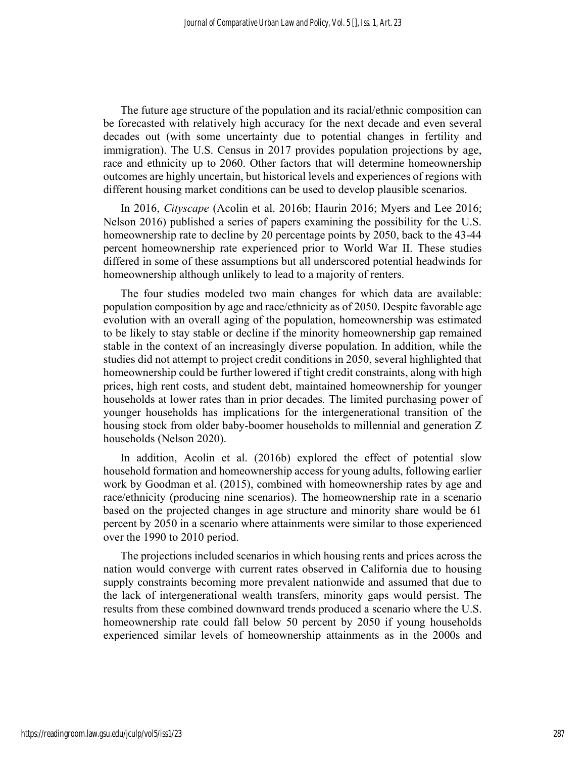The future age structure of the population and its racial/ethnic composition can be forecasted with relatively high accuracy for the next decade and even several decades out (with some uncertainty due to potential changes in fertility and immigration). The U.S. Census in 2017 provides population projections by age, race and ethnicity up to 2060. Other factors that will determine homeownership outcomes are highly uncertain, but historical levels and experiences of regions with different housing market conditions can be used to develop plausible scenarios.

In 2016, Cityscape (Acolin et al. 2016b; Haurin 2016; Myers and Lee 2016; Nelson 2016) published a series of papers examining the possibility for the U.S. homeownership rate to decline by 20 percentage points by 2050, back to the 43-44 percent homeownership rate experienced prior to World War II. These studies differed in some of these assumptions but all underscored potential headwinds for homeownership although unlikely to lead to a majority of renters.

The four studies modeled two main changes for which data are available: population composition by age and race/ethnicity as of 2050. Despite favorable age evolution with an overall aging of the population, homeownership was estimated to be likely to stay stable or decline if the minority homeownership gap remained stable in the context of an increasingly diverse population. In addition, while the studies did not attempt to project credit conditions in 2050, several highlighted that homeownership could be further lowered if tight credit constraints, along with high prices, high rent costs, and student debt, maintained homeownership for younger households at lower rates than in prior decades. The limited purchasing power of younger households has implications for the intergenerational transition of the housing stock from older baby-boomer households to millennial and generation Z households (Nelson 2020).

In addition, Acolin et al. (2016b) explored the effect of potential slow household formation and homeownership access for young adults, following earlier work by Goodman et al. (2015), combined with homeownership rates by age and race/ethnicity (producing nine scenarios). The homeownership rate in a scenario based on the projected changes in age structure and minority share would be 61 percent by 2050 in a scenario where attainments were similar to those experienced over the 1990 to 2010 period.

The projections included scenarios in which housing rents and prices across the nation would converge with current rates observed in California due to housing supply constraints becoming more prevalent nationwide and assumed that due to the lack of intergenerational wealth transfers, minority gaps would persist. The results from these combined downward trends produced a scenario where the U.S. homeownership rate could fall below 50 percent by 2050 if young households experienced similar levels of homeownership attainments as in the 2000s and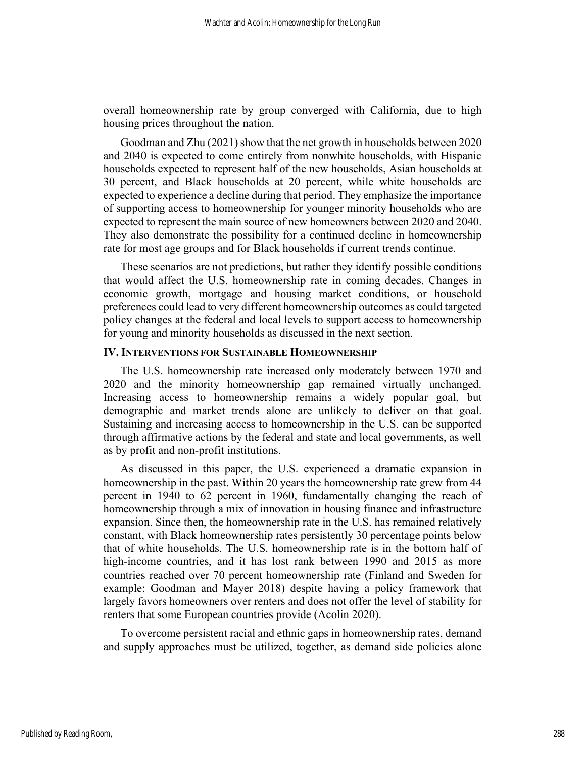overall homeownership rate by group converged with California, due to high housing prices throughout the nation.

Goodman and Zhu (2021) show that the net growth in households between 2020 and 2040 is expected to come entirely from nonwhite households, with Hispanic households expected to represent half of the new households, Asian households at 30 percent, and Black households at 20 percent, while white households are expected to experience a decline during that period. They emphasize the importance of supporting access to homeownership for younger minority households who are expected to represent the main source of new homeowners between 2020 and 2040. They also demonstrate the possibility for a continued decline in homeownership rate for most age groups and for Black households if current trends continue.

These scenarios are not predictions, but rather they identify possible conditions that would affect the U.S. homeownership rate in coming decades. Changes in economic growth, mortgage and housing market conditions, or household preferences could lead to very different homeownership outcomes as could targeted policy changes at the federal and local levels to support access to homeownership for young and minority households as discussed in the next section.

## IV. INTERVENTIONS FOR SUSTAINABLE HOMEOWNERSHIP

The U.S. homeownership rate increased only moderately between 1970 and 2020 and the minority homeownership gap remained virtually unchanged. Increasing access to homeownership remains a widely popular goal, but demographic and market trends alone are unlikely to deliver on that goal. Sustaining and increasing access to homeownership in the U.S. can be supported through affirmative actions by the federal and state and local governments, as well as by profit and non-profit institutions.

As discussed in this paper, the U.S. experienced a dramatic expansion in homeownership in the past. Within 20 years the homeownership rate grew from 44 percent in 1940 to 62 percent in 1960, fundamentally changing the reach of homeownership through a mix of innovation in housing finance and infrastructure expansion. Since then, the homeownership rate in the U.S. has remained relatively constant, with Black homeownership rates persistently 30 percentage points below that of white households. The U.S. homeownership rate is in the bottom half of high-income countries, and it has lost rank between 1990 and 2015 as more countries reached over 70 percent homeownership rate (Finland and Sweden for example: Goodman and Mayer 2018) despite having a policy framework that largely favors homeowners over renters and does not offer the level of stability for renters that some European countries provide (Acolin 2020).

To overcome persistent racial and ethnic gaps in homeownership rates, demand and supply approaches must be utilized, together, as demand side policies alone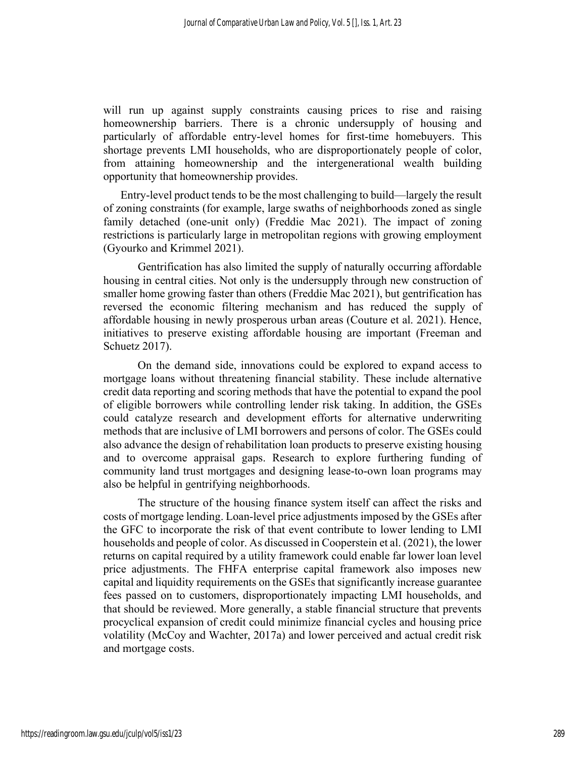will run up against supply constraints causing prices to rise and raising homeownership barriers. There is a chronic undersupply of housing and particularly of affordable entry-level homes for first-time homebuyers. This shortage prevents LMI households, who are disproportionately people of color, from attaining homeownership and the intergenerational wealth building opportunity that homeownership provides.

Entry-level product tends to be the most challenging to build—largely the result of zoning constraints (for example, large swaths of neighborhoods zoned as single family detached (one-unit only) (Freddie Mac 2021). The impact of zoning restrictions is particularly large in metropolitan regions with growing employment (Gyourko and Krimmel 2021).

 Gentrification has also limited the supply of naturally occurring affordable housing in central cities. Not only is the undersupply through new construction of smaller home growing faster than others (Freddie Mac 2021), but gentrification has reversed the economic filtering mechanism and has reduced the supply of affordable housing in newly prosperous urban areas (Couture et al. 2021). Hence, initiatives to preserve existing affordable housing are important (Freeman and Schuetz 2017).

On the demand side, innovations could be explored to expand access to mortgage loans without threatening financial stability. These include alternative credit data reporting and scoring methods that have the potential to expand the pool of eligible borrowers while controlling lender risk taking. In addition, the GSEs could catalyze research and development efforts for alternative underwriting methods that are inclusive of LMI borrowers and persons of color. The GSEs could also advance the design of rehabilitation loan products to preserve existing housing and to overcome appraisal gaps. Research to explore furthering funding of community land trust mortgages and designing lease-to-own loan programs may also be helpful in gentrifying neighborhoods.

The structure of the housing finance system itself can affect the risks and costs of mortgage lending. Loan-level price adjustments imposed by the GSEs after the GFC to incorporate the risk of that event contribute to lower lending to LMI households and people of color. As discussed in Cooperstein et al. (2021), the lower returns on capital required by a utility framework could enable far lower loan level price adjustments. The FHFA enterprise capital framework also imposes new capital and liquidity requirements on the GSEs that significantly increase guarantee fees passed on to customers, disproportionately impacting LMI households, and that should be reviewed. More generally, a stable financial structure that prevents procyclical expansion of credit could minimize financial cycles and housing price volatility (McCoy and Wachter, 2017a) and lower perceived and actual credit risk and mortgage costs.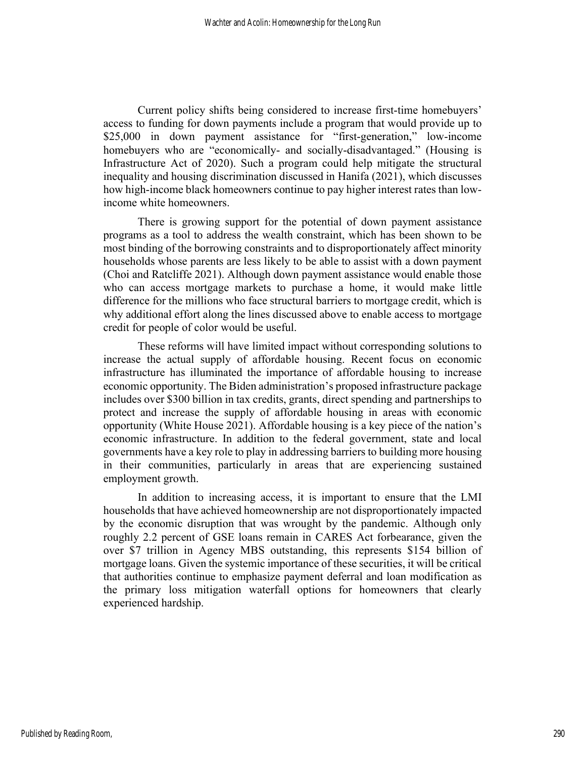Current policy shifts being considered to increase first-time homebuyers' access to funding for down payments include a program that would provide up to \$25,000 in down payment assistance for "first-generation," low-income homebuyers who are "economically- and socially-disadvantaged." (Housing is Infrastructure Act of 2020). Such a program could help mitigate the structural inequality and housing discrimination discussed in Hanifa (2021), which discusses how high-income black homeowners continue to pay higher interest rates than lowincome white homeowners.

There is growing support for the potential of down payment assistance programs as a tool to address the wealth constraint, which has been shown to be most binding of the borrowing constraints and to disproportionately affect minority households whose parents are less likely to be able to assist with a down payment (Choi and Ratcliffe 2021). Although down payment assistance would enable those who can access mortgage markets to purchase a home, it would make little difference for the millions who face structural barriers to mortgage credit, which is why additional effort along the lines discussed above to enable access to mortgage credit for people of color would be useful.

These reforms will have limited impact without corresponding solutions to increase the actual supply of affordable housing. Recent focus on economic infrastructure has illuminated the importance of affordable housing to increase economic opportunity. The Biden administration's proposed infrastructure package includes over \$300 billion in tax credits, grants, direct spending and partnerships to protect and increase the supply of affordable housing in areas with economic opportunity (White House 2021). Affordable housing is a key piece of the nation's economic infrastructure. In addition to the federal government, state and local governments have a key role to play in addressing barriers to building more housing in their communities, particularly in areas that are experiencing sustained employment growth.

In addition to increasing access, it is important to ensure that the LMI households that have achieved homeownership are not disproportionately impacted by the economic disruption that was wrought by the pandemic. Although only roughly 2.2 percent of GSE loans remain in CARES Act forbearance, given the over \$7 trillion in Agency MBS outstanding, this represents \$154 billion of mortgage loans. Given the systemic importance of these securities, it will be critical that authorities continue to emphasize payment deferral and loan modification as the primary loss mitigation waterfall options for homeowners that clearly experienced hardship.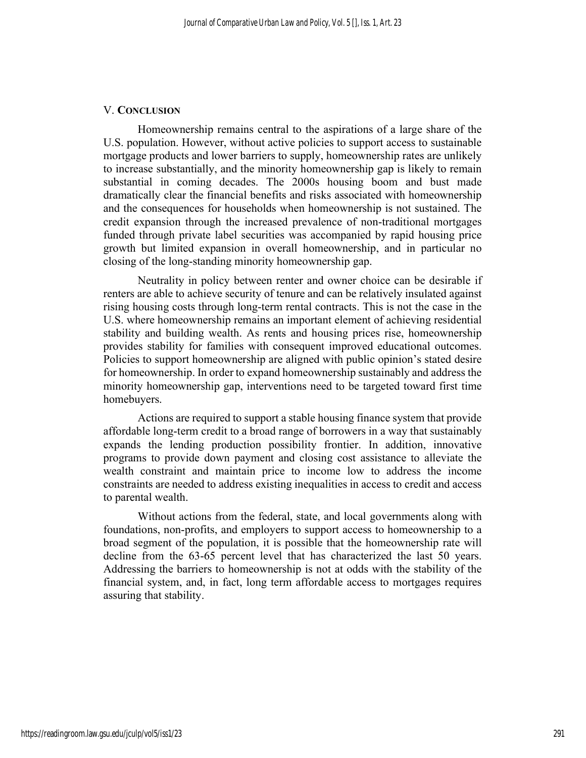## V. CONCLUSION

Homeownership remains central to the aspirations of a large share of the U.S. population. However, without active policies to support access to sustainable mortgage products and lower barriers to supply, homeownership rates are unlikely to increase substantially, and the minority homeownership gap is likely to remain substantial in coming decades. The 2000s housing boom and bust made dramatically clear the financial benefits and risks associated with homeownership and the consequences for households when homeownership is not sustained. The credit expansion through the increased prevalence of non-traditional mortgages funded through private label securities was accompanied by rapid housing price growth but limited expansion in overall homeownership, and in particular no closing of the long-standing minority homeownership gap.

Neutrality in policy between renter and owner choice can be desirable if renters are able to achieve security of tenure and can be relatively insulated against rising housing costs through long-term rental contracts. This is not the case in the U.S. where homeownership remains an important element of achieving residential stability and building wealth. As rents and housing prices rise, homeownership provides stability for families with consequent improved educational outcomes. Policies to support homeownership are aligned with public opinion's stated desire for homeownership. In order to expand homeownership sustainably and address the minority homeownership gap, interventions need to be targeted toward first time homebuyers.

Actions are required to support a stable housing finance system that provide affordable long-term credit to a broad range of borrowers in a way that sustainably expands the lending production possibility frontier. In addition, innovative programs to provide down payment and closing cost assistance to alleviate the wealth constraint and maintain price to income low to address the income constraints are needed to address existing inequalities in access to credit and access to parental wealth.

Without actions from the federal, state, and local governments along with foundations, non-profits, and employers to support access to homeownership to a broad segment of the population, it is possible that the homeownership rate will decline from the 63-65 percent level that has characterized the last 50 years. Addressing the barriers to homeownership is not at odds with the stability of the financial system, and, in fact, long term affordable access to mortgages requires assuring that stability.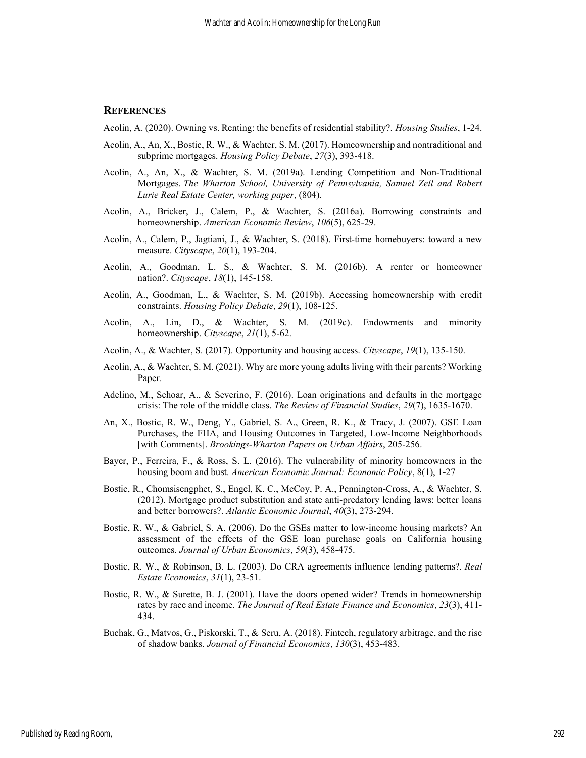#### **REFERENCES**

Acolin, A. (2020). Owning vs. Renting: the benefits of residential stability?. Housing Studies, 1-24.

- Acolin, A., An, X., Bostic, R. W., & Wachter, S. M. (2017). Homeownership and nontraditional and subprime mortgages. Housing Policy Debate, 27(3), 393-418.
- Acolin, A., An, X., & Wachter, S. M. (2019a). Lending Competition and Non-Traditional Mortgages. The Wharton School, University of Pennsylvania, Samuel Zell and Robert Lurie Real Estate Center, working paper, (804).
- Acolin, A., Bricker, J., Calem, P., & Wachter, S. (2016a). Borrowing constraints and homeownership. American Economic Review, 106(5), 625-29.
- Acolin, A., Calem, P., Jagtiani, J., & Wachter, S. (2018). First-time homebuyers: toward a new measure. *Cityscape*, 20(1), 193-204.
- Acolin, A., Goodman, L. S., & Wachter, S. M. (2016b). A renter or homeowner nation?. Cityscape, 18(1), 145-158.
- Acolin, A., Goodman, L., & Wachter, S. M. (2019b). Accessing homeownership with credit constraints. Housing Policy Debate, 29(1), 108-125.
- Acolin, A., Lin, D., & Wachter, S. M. (2019c). Endowments and minority homeownership. Cityscape, 21(1), 5-62.
- Acolin, A., & Wachter, S. (2017). Opportunity and housing access. Cityscape, 19(1), 135-150.
- Acolin, A., & Wachter, S. M. (2021). Why are more young adults living with their parents? Working Paper.
- Adelino, M., Schoar, A., & Severino, F. (2016). Loan originations and defaults in the mortgage crisis: The role of the middle class. The Review of Financial Studies, 29(7), 1635-1670.
- An, X., Bostic, R. W., Deng, Y., Gabriel, S. A., Green, R. K., & Tracy, J. (2007). GSE Loan Purchases, the FHA, and Housing Outcomes in Targeted, Low-Income Neighborhoods [with Comments]. Brookings-Wharton Papers on Urban Affairs, 205-256.
- Bayer, P., Ferreira, F., & Ross, S. L. (2016). The vulnerability of minority homeowners in the housing boom and bust. American Economic Journal: Economic Policy, 8(1), 1-27
- Bostic, R., Chomsisengphet, S., Engel, K. C., McCoy, P. A., Pennington-Cross, A., & Wachter, S. (2012). Mortgage product substitution and state anti-predatory lending laws: better loans and better borrowers?. Atlantic Economic Journal, 40(3), 273-294.
- Bostic, R. W., & Gabriel, S. A. (2006). Do the GSEs matter to low-income housing markets? An assessment of the effects of the GSE loan purchase goals on California housing outcomes. Journal of Urban Economics, 59(3), 458-475.
- Bostic, R. W., & Robinson, B. L. (2003). Do CRA agreements influence lending patterns?. Real Estate Economics, 31(1), 23-51.
- Bostic, R. W., & Surette, B. J. (2001). Have the doors opened wider? Trends in homeownership rates by race and income. The Journal of Real Estate Finance and Economics, 23(3), 411-434.
- Buchak, G., Matvos, G., Piskorski, T., & Seru, A. (2018). Fintech, regulatory arbitrage, and the rise of shadow banks. Journal of Financial Economics, 130(3), 453-483.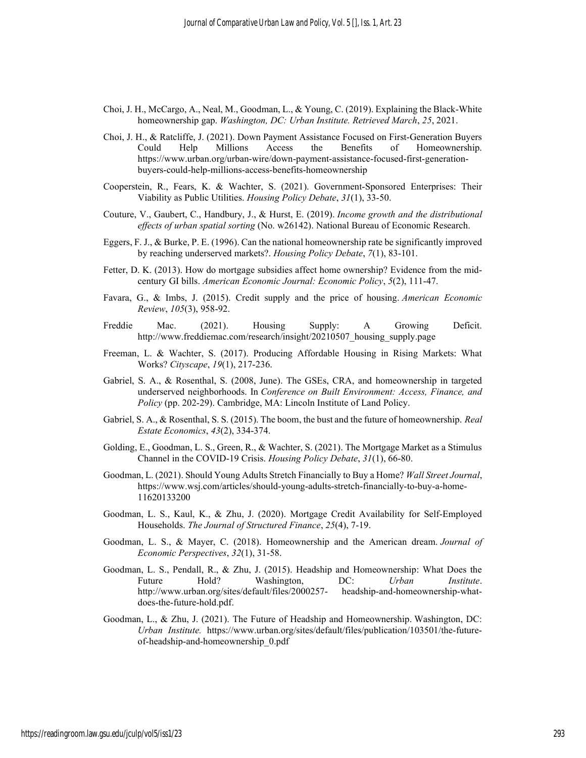- Choi, J. H., McCargo, A., Neal, M., Goodman, L., & Young, C. (2019). Explaining the Black-White homeownership gap. Washington, DC: Urban Institute. Retrieved March, 25, 2021.
- Choi, J. H., & Ratcliffe, J. (2021). Down Payment Assistance Focused on First-Generation Buyers Could Help Millions Access the Benefits of Homeownership. https://www.urban.org/urban-wire/down-payment-assistance-focused-first-generationbuyers-could-help-millions-access-benefits-homeownership
- Cooperstein, R., Fears, K. & Wachter, S. (2021). Government-Sponsored Enterprises: Their Viability as Public Utilities. Housing Policy Debate, 31(1), 33-50.
- Couture, V., Gaubert, C., Handbury, J., & Hurst, E. (2019). Income growth and the distributional effects of urban spatial sorting (No. w26142). National Bureau of Economic Research.
- Eggers, F. J., & Burke, P. E. (1996). Can the national homeownership rate be significantly improved by reaching underserved markets?. Housing Policy Debate, 7(1), 83-101.
- Fetter, D. K. (2013). How do mortgage subsidies affect home ownership? Evidence from the midcentury GI bills. American Economic Journal: Economic Policy, 5(2), 111-47.
- Favara, G., & Imbs, J. (2015). Credit supply and the price of housing. American Economic Review, 105(3), 958-92.
- Freddie Mac. (2021). Housing Supply: A Growing Deficit. http://www.freddiemac.com/research/insight/20210507\_housing\_supply.page
- Freeman, L. & Wachter, S. (2017). Producing Affordable Housing in Rising Markets: What Works? Cityscape, 19(1), 217-236.
- Gabriel, S. A., & Rosenthal, S. (2008, June). The GSEs, CRA, and homeownership in targeted underserved neighborhoods. In Conference on Built Environment: Access, Finance, and Policy (pp. 202-29). Cambridge, MA: Lincoln Institute of Land Policy.
- Gabriel, S. A., & Rosenthal, S. S. (2015). The boom, the bust and the future of homeownership. Real Estate Economics, 43(2), 334-374.
- Golding, E., Goodman, L. S., Green, R., & Wachter, S. (2021). The Mortgage Market as a Stimulus Channel in the COVID-19 Crisis. Housing Policy Debate, 31(1), 66-80.
- Goodman, L. (2021). Should Young Adults Stretch Financially to Buy a Home? Wall Street Journal, https://www.wsj.com/articles/should-young-adults-stretch-financially-to-buy-a-home-11620133200
- Goodman, L. S., Kaul, K., & Zhu, J. (2020). Mortgage Credit Availability for Self-Employed Households. The Journal of Structured Finance, 25(4), 7-19.
- Goodman, L. S., & Mayer, C. (2018). Homeownership and the American dream. Journal of Economic Perspectives, 32(1), 31-58.
- Goodman, L. S., Pendall, R., & Zhu, J. (2015). Headship and Homeownership: What Does the Future Hold? Washington, DC: Urban Institute. http://www.urban.org/sites/default/files/2000257- headship-and-homeownership-whatdoes-the-future-hold.pdf.
- Goodman, L., & Zhu, J. (2021). The Future of Headship and Homeownership. Washington, DC: Urban Institute. https://www.urban.org/sites/default/files/publication/103501/the-futureof-headship-and-homeownership\_0.pdf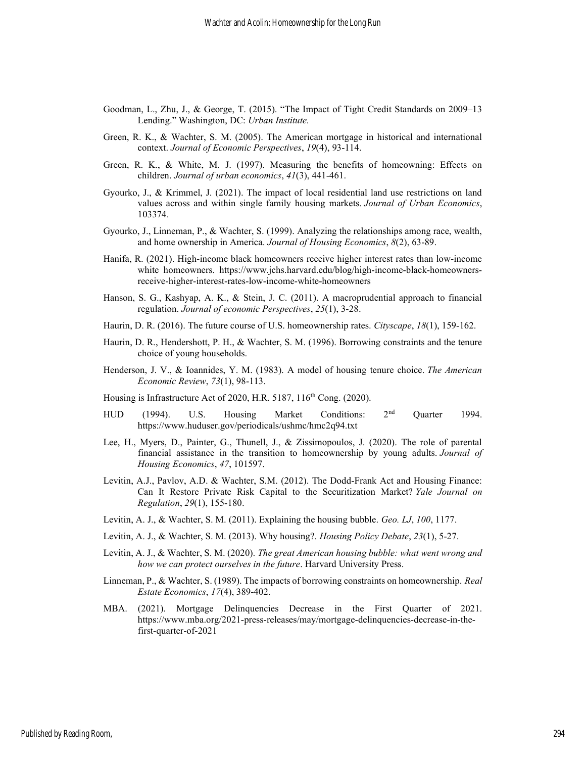- Goodman, L., Zhu, J., & George, T. (2015). "The Impact of Tight Credit Standards on 2009–13 Lending." Washington, DC: Urban Institute.
- Green, R. K., & Wachter, S. M. (2005). The American mortgage in historical and international context. Journal of Economic Perspectives, 19(4), 93-114.
- Green, R. K., & White, M. J. (1997). Measuring the benefits of homeowning: Effects on children. Journal of urban economics, 41(3), 441-461.
- Gyourko, J., & Krimmel, J. (2021). The impact of local residential land use restrictions on land values across and within single family housing markets. Journal of Urban Economics, 103374.
- Gyourko, J., Linneman, P., & Wachter, S. (1999). Analyzing the relationships among race, wealth, and home ownership in America. Journal of Housing Economics, 8(2), 63-89.
- Hanifa, R. (2021). High-income black homeowners receive higher interest rates than low-income white homeowners. https://www.jchs.harvard.edu/blog/high-income-black-homeownersreceive-higher-interest-rates-low-income-white-homeowners
- Hanson, S. G., Kashyap, A. K., & Stein, J. C. (2011). A macroprudential approach to financial regulation. Journal of economic Perspectives, 25(1), 3-28.
- Haurin, D. R. (2016). The future course of U.S. homeownership rates. Cityscape, 18(1), 159-162.
- Haurin, D. R., Hendershott, P. H., & Wachter, S. M. (1996). Borrowing constraints and the tenure choice of young households.
- Henderson, J. V., & Ioannides, Y. M. (1983). A model of housing tenure choice. The American Economic Review, 73(1), 98-113.
- Housing is Infrastructure Act of 2020, H.R. 5187, 116<sup>th</sup> Cong. (2020).
- HUD (1994). U.S. Housing Market Conditions: 2<sup>nd</sup> Quarter 1994. https://www.huduser.gov/periodicals/ushmc/hmc2q94.txt
- Lee, H., Myers, D., Painter, G., Thunell, J., & Zissimopoulos, J. (2020). The role of parental financial assistance in the transition to homeownership by young adults. Journal of Housing Economics, 47, 101597.
- Levitin, A.J., Pavlov, A.D. & Wachter, S.M. (2012). The Dodd-Frank Act and Housing Finance: Can It Restore Private Risk Capital to the Securitization Market? Yale Journal on Regulation, 29(1), 155-180.
- Levitin, A. J., & Wachter, S. M. (2011). Explaining the housing bubble. Geo. LJ, 100, 1177.
- Levitin, A. J., & Wachter, S. M. (2013). Why housing?. Housing Policy Debate, 23(1), 5-27.
- Levitin, A. J., & Wachter, S. M. (2020). The great American housing bubble: what went wrong and how we can protect ourselves in the future. Harvard University Press.
- Linneman, P., & Wachter, S. (1989). The impacts of borrowing constraints on homeownership. Real Estate Economics, 17(4), 389-402.
- MBA. (2021). Mortgage Delinquencies Decrease in the First Quarter of 2021. https://www.mba.org/2021-press-releases/may/mortgage-delinquencies-decrease-in-thefirst-quarter-of-2021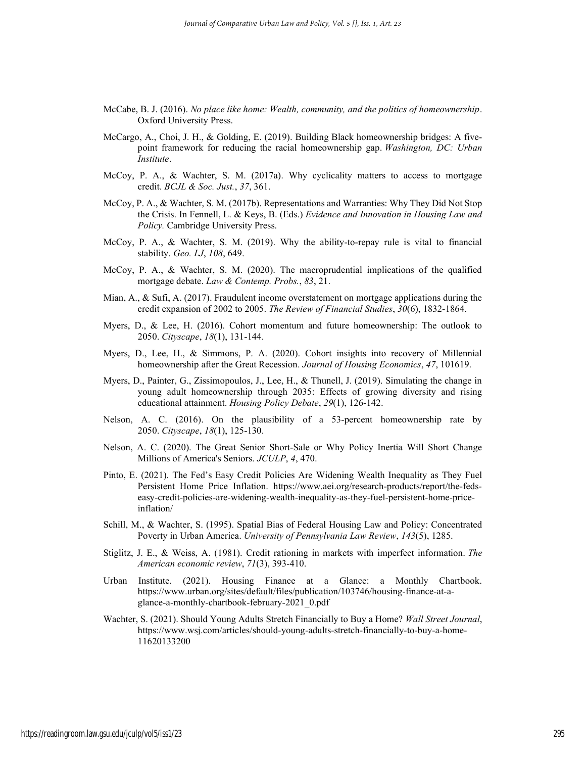- McCabe, B. J. (2016). No place like home: Wealth, community, and the politics of homeownership. Oxford University Press.
- McCargo, A., Choi, J. H., & Golding, E. (2019). Building Black homeownership bridges: A fivepoint framework for reducing the racial homeownership gap. Washington, DC: Urban Institute.
- McCoy, P. A., & Wachter, S. M. (2017a). Why cyclicality matters to access to mortgage credit. BCJL & Soc. Just., 37, 361.
- McCoy, P. A., & Wachter, S. M. (2017b). Representations and Warranties: Why They Did Not Stop the Crisis. In Fennell, L. & Keys, B. (Eds.) Evidence and Innovation in Housing Law and Policy. Cambridge University Press.
- McCoy, P. A., & Wachter, S. M. (2019). Why the ability-to-repay rule is vital to financial stability. Geo. LJ, 108, 649.
- McCoy, P. A., & Wachter, S. M. (2020). The macroprudential implications of the qualified mortgage debate. Law & Contemp. Probs., 83, 21.
- Mian, A., & Sufi, A. (2017). Fraudulent income overstatement on mortgage applications during the credit expansion of 2002 to 2005. The Review of Financial Studies, 30(6), 1832-1864.
- Myers, D., & Lee, H. (2016). Cohort momentum and future homeownership: The outlook to 2050. Cityscape, 18(1), 131-144.
- Myers, D., Lee, H., & Simmons, P. A. (2020). Cohort insights into recovery of Millennial homeownership after the Great Recession. Journal of Housing Economics, 47, 101619.
- Myers, D., Painter, G., Zissimopoulos, J., Lee, H., & Thunell, J. (2019). Simulating the change in young adult homeownership through 2035: Effects of growing diversity and rising educational attainment. Housing Policy Debate, 29(1), 126-142.
- Nelson, A. C. (2016). On the plausibility of a 53-percent homeownership rate by 2050. Cityscape, 18(1), 125-130.
- Nelson, A. C. (2020). The Great Senior Short-Sale or Why Policy Inertia Will Short Change Millions of America's Seniors. JCULP, 4, 470.
- Pinto, E. (2021). The Fed's Easy Credit Policies Are Widening Wealth Inequality as They Fuel Persistent Home Price Inflation. https://www.aei.org/research-products/report/the-fedseasy-credit-policies-are-widening-wealth-inequality-as-they-fuel-persistent-home-priceinflation/
- Schill, M., & Wachter, S. (1995). Spatial Bias of Federal Housing Law and Policy: Concentrated Poverty in Urban America. University of Pennsylvania Law Review, 143(5), 1285.
- Stiglitz, J. E., & Weiss, A. (1981). Credit rationing in markets with imperfect information. The American economic review, 71(3), 393-410.
- Urban Institute. (2021). Housing Finance at a Glance: a Monthly Chartbook. https://www.urban.org/sites/default/files/publication/103746/housing-finance-at-aglance-a-monthly-chartbook-february-2021\_0.pdf
- Wachter, S. (2021). Should Young Adults Stretch Financially to Buy a Home? Wall Street Journal, https://www.wsj.com/articles/should-young-adults-stretch-financially-to-buy-a-home-11620133200